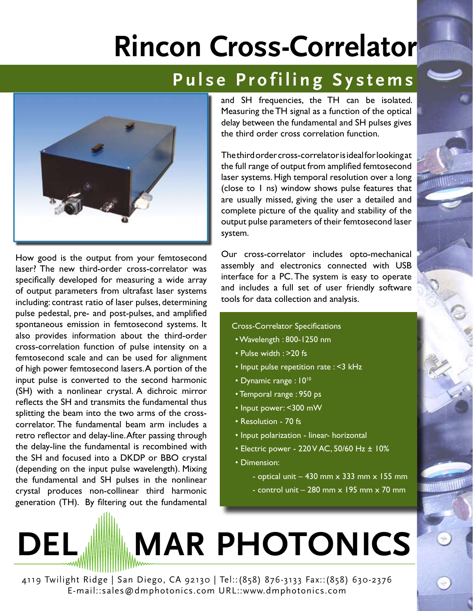## **Rincon Cross-Correlator**

## Pulse Profiling Systems



How good is the output from your femtosecond laser? The new third-order cross-correlator was specifically developed for measuring a wide array of output parameters from ultrafast laser systems including: contrast ratio of laser pulses, determining pulse pedestal, pre- and post-pulses, and amplified spontaneous emission in femtosecond systems. It also provides information about the third-order cross-correlation function of pulse intensity on a femtosecond scale and can be used for alignment of high power femtosecond lasers. A portion of the input pulse is converted to the second harmonic (SH) with a nonlinear crystal. A dichroic mirror reflects the SH and transmits the fundamental thus splitting the beam into the two arms of the crosscorrelator. The fundamental beam arm includes a retro reflector and delay-line. After passing through the delay-line the fundamental is recombined with the SH and focused into a DKDP or BBO crystal (depending on the input pulse wavelength). Mixing the fundamental and SH pulses in the nonlinear crystal produces non-collinear third harmonic generation (TH). By filtering out the fundamental

and SH frequencies, the TH can be isolated. Measuring the TH signal as a function of the optical delay between the fundamental and SH pulses gives the third order cross correlation function.

The third order cross-correlator is ideal for looking at the full range of output from amplified femtosecond laser systems. High temporal resolution over a long (close to 1 ns) window shows pulse features that are usually missed, giving the user a detailed and complete picture of the quality and stability of the output pulse parameters of their femtosecond laser system.

Our cross-correlator includes opto-mechanical assembly and electronics connected with USB interface for a PC. The system is easy to operate and includes a full set of user friendly software tools for data collection and analysis.

## Cross-Correlator Specifications

- Wavelength : 800-1250 nm
- Pulse width : >20 fs
- Input pulse repetition rate : <3 kHz
- Dynamic range : 10<sup>10</sup>
- Temporal range : 950 ps
- Input power: <300 mW
- Resolution 70 fs
- Input polarization linear- horizontal
- Electric power 220 V AC, 50/60 Hz ± 10%
- Dimension:

- optical unit  $-$  430 mm  $\times$  333 mm  $\times$  155 mm - control unit  $-280$  mm  $\times$  195 mm  $\times$  70 mm

## **DEL MAR PHOTONICS**

4119 Twilight Ridge | San Diego, CA 92130 | Tel::(858) 876-3133 Fax::(858) 630-2376 E-mail::sales@dmphotonics.com URL::www.dmphotonics.com